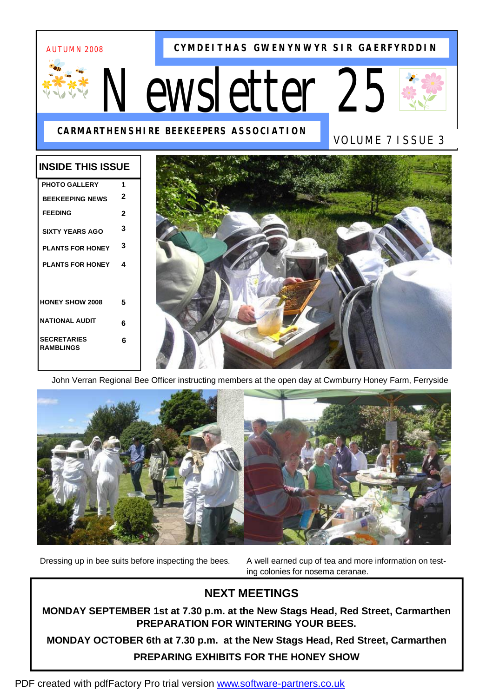# AUTUMN 2008

**CYMDEITHAS GWENYNWYR SIR GAERFYRDDIN**

# *Newsletter 25*





VOLUME 7 ISSUE 3

# **INSIDE THIS ISSUE**

| <b>PHOTO GALLERY</b>                   | 1 |
|----------------------------------------|---|
| <b>BEEKEEPING NEWS</b>                 | 2 |
| <b>FEEDING</b>                         | 2 |
| <b>SIXTY YEARS AGO</b>                 | 3 |
| <b>PI ANTS FOR HONFY</b>               | 3 |
| <b>PLANTS FOR HONEY</b>                | 4 |
|                                        |   |
| <b>HONEY SHOW 2008</b>                 | 5 |
| NATIONAL AUDIT                         | 6 |
| <b>SECRETARIES</b><br><b>RAMBLINGS</b> | 6 |
|                                        |   |



John Verran Regional Bee Officer instructing members at the open day at Cwmburry Honey Farm, Ferryside



Dressing up in bee suits before inspecting the bees. A well earned cup of tea and more information on testing colonies for nosema ceranae.

# **NEXT MEETINGS**

**MONDAY SEPTEMBER 1st at 7.30 p.m. at the New Stags Head, Red Street, Carmarthen PREPARATION FOR WINTERING YOUR BEES.** 

**MONDAY OCTOBER 6th at 7.30 p.m. at the New Stags Head, Red Street, Carmarthen PREPARING EXHIBITS FOR THE HONEY SHOW**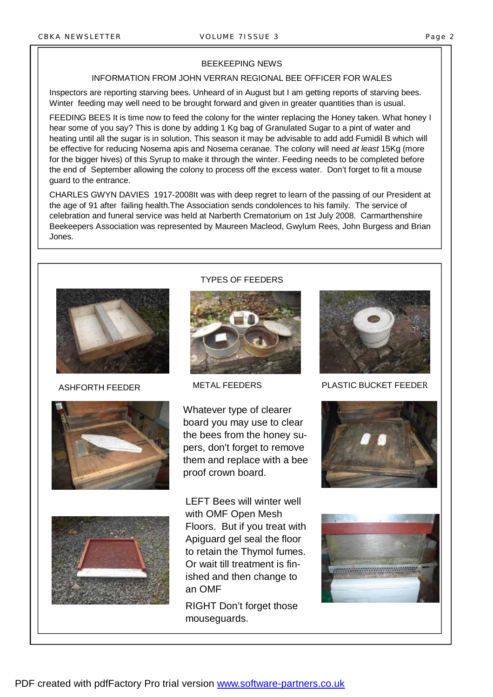#### BEEKEEPING NEWS

# INFORMATION FROM JOHN VERRAN REGIONAL BEE OFFICER FOR WALES

Inspectors are reporting starving bees. Unheard of in August but I am getting reports of starving bees. Winter feeding may well need to be brought forward and given in greater quantities than is usual.

FEEDING BEES It is time now to feed the colony for the winter replacing the Honey taken. What honey I hear some of you say? This is done by adding 1 Kg bag of Granulated Sugar to a pint of water and heating until all the sugar is in solution, This season it may be advisable to add add Fumidil B which will be effective for reducing Nosema apis and Nosema ceranae. The colony will need *at least* 15Kg (more for the bigger hives) of this Syrup to make it through the winter. Feeding needs to be completed before the end of September allowing the colony to process off the excess water. Don't forget to fit a mouse guard to the entrance.

CHARLES GWYN DAVIES 1917-2008It was with deep regret to learn of the passing of our President at the age of 91 after failing health.The Association sends condolences to his family. The service of celebration and funeral service was held at Narberth Crematorium on 1st July 2008. Carmarthenshire Beekeepers Association was represented by Maureen Macleod, Gwylum Rees, John Burgess and Brian Jones.









TYPES OF FEEDERS

Whatever type of clearer board you may use to clear the bees from the honey supers, don't forget to remove them and replace with a bee proof crown board.

LEFT Bees will winter well with OMF Open Mesh Floors. But if you treat with Apiguard gel seal the floor to retain the Thymol fumes. Or wait till treatment is finished and then change to an OMF

RIGHT Don't forget those mouseguards.



ASHFORTH FEEDER METAL FEEDERS PLASTIC BUCKET FEEDER



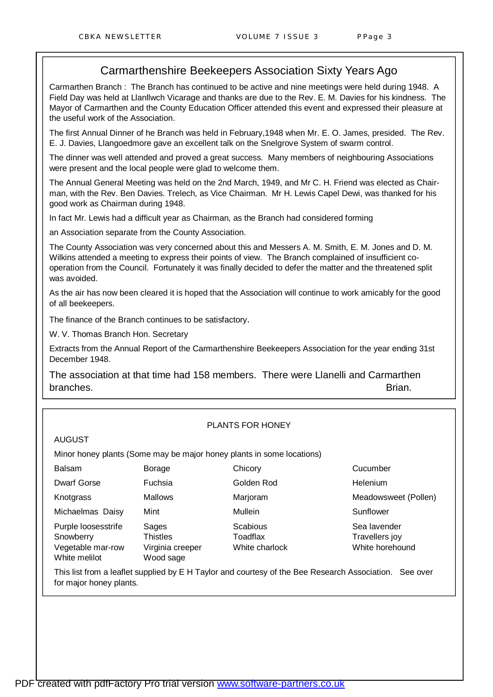# Carmarthenshire Beekeepers Association Sixty Years Ago

Carmarthen Branch : The Branch has continued to be active and nine meetings were held during 1948. A Field Day was held at Llanllwch Vicarage and thanks are due to the Rev. E. M. Davies for his kindness. The Mayor of Carmarthen and the County Education Officer attended this event and expressed their pleasure at the useful work of the Association.

The first Annual Dinner of he Branch was held in February,1948 when Mr. E. O. James, presided. The Rev. E. J. Davies, Llangoedmore gave an excellent talk on the Snelgrove System of swarm control.

The dinner was well attended and proved a great success. Many members of neighbouring Associations were present and the local people were glad to welcome them.

The Annual General Meeting was held on the 2nd March, 1949, and Mr C. H. Friend was elected as Chairman, with the Rev. Ben Davies. Trelech, as Vice Chairman. Mr H. Lewis Capel Dewi, was thanked for his good work as Chairman during 1948.

In fact Mr. Lewis had a difficult year as Chairman, as the Branch had considered forming

an Association separate from the County Association.

The County Association was very concerned about this and Messers A. M. Smith, E. M. Jones and D. M. Wilkins attended a meeting to express their points of view. The Branch complained of insufficient cooperation from the Council. Fortunately it was finally decided to defer the matter and the threatened split was avoided.

As the air has now been cleared it is hoped that the Association will continue to work amicably for the good of all beekeepers.

The finance of the Branch continues to be satisfactory.

W. V. Thomas Branch Hon. Secretary

Extracts from the Annual Report of the Carmarthenshire Beekeepers Association for the year ending 31st December 1948.

The association at that time had 158 members. There were Llanelli and Carmarthen branches. Brian.

#### PLANTS FOR HONEY

#### AUGUST

Minor honey plants (Some may be major honey plants in some locations)

| paisani   |  |
|-----------|--|
| Dwarf Gor |  |

Michaelmas Daisy Mint Mullein Mullein Sunflower

Purple loosesstrife Sages Scabious Scabious Sea lavender Snowberry Thistles The Toadflax Travellers joy

Vegetable mar-row Virginia creeper White charlock White horehound White melilot **Wood sage** 

Balsam Borage Chicory Cucumber Dwarf Gorse Fuchsia Golden Rod Helenium

Knotgrass Mallows Marjoram Meadowsweet (Pollen)

This list from a leaflet supplied by E H Taylor and courtesy of the Bee Research Association. See over for major honey plants.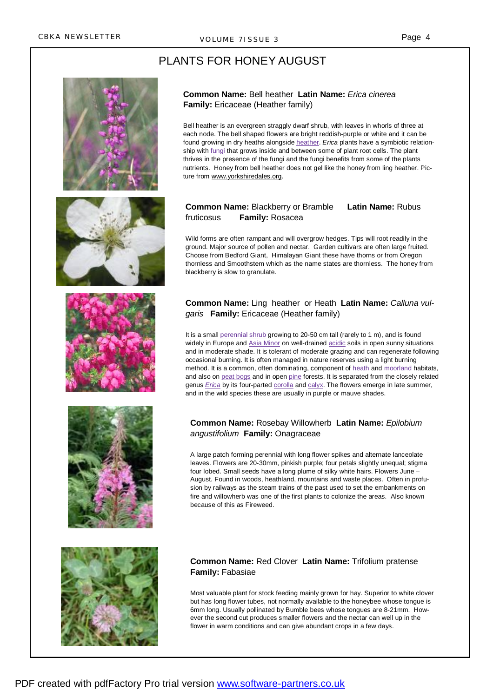# PLANTS FOR HONEY AUGUST











#### **Common Name:** Bell heather **Latin Name:** *Erica cinerea* **Family:** Ericaceae (Heather family)

Bell heather is an evergreen straggly dwarf shrub, with leaves in whorls of three at each node. The bell shaped flowers are bright reddish-purple or white and it can be found growing in dry heaths alongside heather. *Erica* plants have a symbiotic relationship with fungi that grows inside and between some of plant root cells. The plant thrives in the presence of the fungi and the fungi benefits from some of the plants nutrients. Honey from bell heather does not gel like the honey from ling heather. Picture from [www.yorkshiredales.org](http://www.yorkshiredales.org).

# **Common Name:** Blackberry or Bramble **Latin Name:** Rubus fruticosus **Family:** Rosacea

Wild forms are often rampant and will overgrow hedges. Tips will root readily in the ground. Major source of pollen and nectar. Garden cultivars are often large fruited. Choose from Bedford Giant, Himalayan Giant these have thorns or from Oregon thornless and Smoothstem which as the name states are thornless. The honey from blackberry is slow to granulate.

### **Common Name:** Ling heather or Heath **Latin Name:** *Calluna vulgaris* **Family:** Ericaceae (Heather family)

It is a small perennial shrub growing to 20-50 cm tall (rarely to 1 m), and is found widely in Europe and Asia Minor on well-drained acidic soils in open sunny situations and in moderate shade. It is tolerant of moderate grazing and can regenerate following occasional burning. It is often managed in nature reserves using a light burning method. It is a common, often dominating, component of heath and moorland habitats, and also on peat bogs and in open pine forests. It is separated from the closely related genus *Erica* by its four-parted corolla and calyx. The flowers emerge in late summer, and in the wild species these are usually in purple or mauve shades.

#### **Common Name:** Rosebay Willowherb **Latin Name:** *Epilobium angustifolium* **Family:** Onagraceae

A large patch forming perennial with long flower spikes and alternate lanceolate leaves. Flowers are 20-30mm, pinkish purple; four petals slightly unequal; stigma four lobed. Small seeds have a long plume of silky white hairs. Flowers June – August. Found in woods, heathland, mountains and waste places. Often in profusion by railways as the steam trains of the past used to set the embankments on fire and willowherb was one of the first plants to colonize the areas. Also known because of this as Fireweed.

# **Common Name:** Red Clover **Latin Name:** Trifolium pratense **Family:** Fabasiae

Most valuable plant for stock feeding mainly grown for hay. Superior to white clover but has long flower tubes, not normally available to the honeybee whose tongue is 6mm long. Usually pollinated by Bumble bees whose tongues are 8-21mm. However the second cut produces smaller flowers and the nectar can well up in the flower in warm conditions and can give abundant crops in a few days.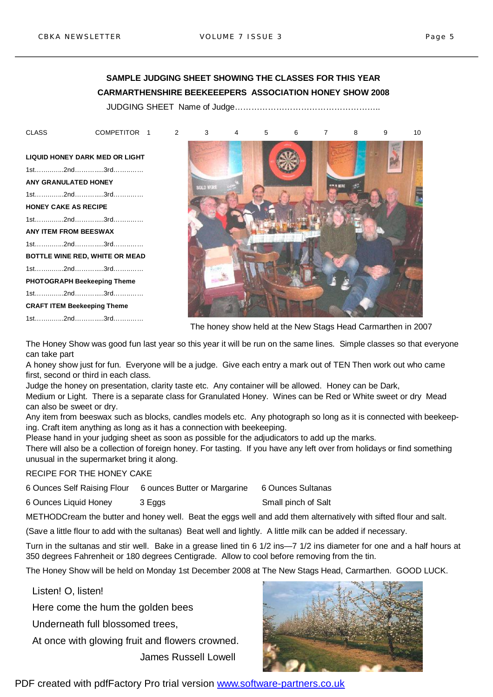# **SAMPLE JUDGING SHEET SHOWING THE CLASSES FOR THIS YEAR CARMARTHENSHIRE BEEKEEEPERS ASSOCIATION HONEY SHOW 2008**

JUDGING SHEET Name of Judge……………………………………………..

**LIQUID HONEY DARK MED OR LIGHT**  1st……..…...2nd……….....3rd……..…… **ANY GRANULATED HONEY**  1st……..…...2nd……….....3rd……..…… **HONEY CAKE AS RECIPE**  1st……..…...2nd……….....3rd……..…… **ANY ITEM FROM BEESWAX**  1st……..…...2nd……….....3rd……..…… **BOTTLE WINE RED, WHITE OR MEAD**  1st……..…...2nd……….....3rd……..…… **PHOTOGRAPH Beekeeping Theme**  1st……..…...2nd……….....3rd……..…… **CRAFT ITEM Beekeeping Theme**  1st……..…...2nd……….....3rd……..……



The honey show held at the New Stags Head Carmarthen in 2007

The Honey Show was good fun last year so this year it will be run on the same lines. Simple classes so that everyone can take part

A honey show just for fun. Everyone will be a judge. Give each entry a mark out of TEN Then work out who came first, second or third in each class.

Judge the honey on presentation, clarity taste etc. Any container will be allowed. Honey can be Dark, Medium or Light. There is a separate class for Granulated Honey. Wines can be Red or White sweet or dry Mead can also be sweet or dry.

Any item from beeswax such as blocks, candles models etc. Any photograph so long as it is connected with beekeeping. Craft item anything as long as it has a connection with beekeeping.

Please hand in your judging sheet as soon as possible for the adjudicators to add up the marks.

There will also be a collection of foreign honey. For tasting. If you have any left over from holidays or find something unusual in the supermarket bring it along.

RECIPE FOR THE HONEY CAKE

6 Ounces Self Raising Flour 6 ounces Butter or Margarine 6 Ounces Sultanas

6 Ounces Liquid Honey 3 Eggs Small pinch of Salt

METHODCream the butter and honey well. Beat the eggs well and add them alternatively with sifted flour and salt.

(Save a little flour to add with the sultanas) Beat well and lightly. A little milk can be added if necessary.

Turn in the sultanas and stir well. Bake in a grease lined tin 6 1/2 ins—7 1/2 ins diameter for one and a half hours at 350 degrees Fahrenheit or 180 degrees Centigrade. Allow to cool before removing from the tin.

The Honey Show will be held on Monday 1st December 2008 at The New Stags Head, Carmarthen. GOOD LUCK.

Listen! O, listen!

Here come the hum the golden bees

Underneath full blossomed trees,

At once with glowing fruit and flowers crowned.

James Russell Lowell